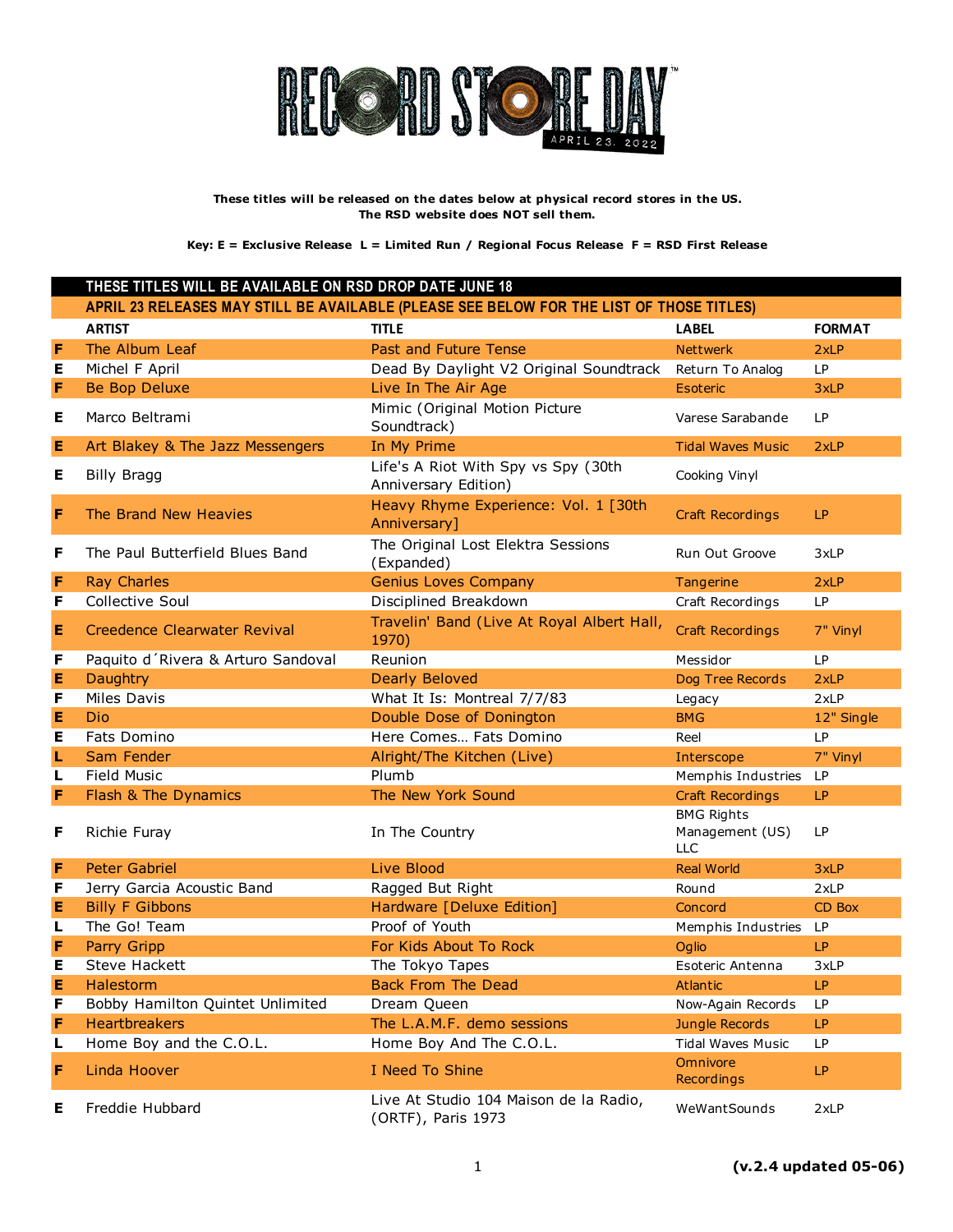

|   | THESE TITLES WILL BE AVAILABLE ON RSD DROP DATE JUNE 18 |                                                                                          |                                                    |               |
|---|---------------------------------------------------------|------------------------------------------------------------------------------------------|----------------------------------------------------|---------------|
|   |                                                         | APRIL 23 RELEASES MAY STILL BE AVAILABLE (PLEASE SEE BELOW FOR THE LIST OF THOSE TITLES) |                                                    |               |
|   | <b>ARTIST</b>                                           | <b>TITLE</b>                                                                             | <b>LABEL</b>                                       | <b>FORMAT</b> |
| F | The Album Leaf                                          | Past and Future Tense                                                                    | <b>Nettwerk</b>                                    | 2xLP          |
| Е | Michel F April                                          | Dead By Daylight V2 Original Soundtrack                                                  | Return To Analog                                   | <b>LP</b>     |
| F | <b>Be Bop Deluxe</b>                                    | Live In The Air Age                                                                      | Esoteric                                           | 3xLP          |
| Е | Marco Beltrami                                          | Mimic (Original Motion Picture<br>Soundtrack)                                            | Varese Sarabande                                   | LP            |
| Е | Art Blakey & The Jazz Messengers                        | In My Prime                                                                              | <b>Tidal Waves Music</b>                           | 2xLP          |
| Е | <b>Billy Bragg</b>                                      | Life's A Riot With Spy vs Spy (30th<br>Anniversary Edition)                              | Cooking Vinyl                                      |               |
| F | The Brand New Heavies                                   | Heavy Rhyme Experience: Vol. 1 [30th<br>Anniversary]                                     | <b>Craft Recordings</b>                            | LP.           |
| F | The Paul Butterfield Blues Band                         | The Original Lost Elektra Sessions<br>(Expanded)                                         | Run Out Groove                                     | 3xLP          |
| F | <b>Ray Charles</b>                                      | <b>Genius Loves Company</b>                                                              | Tangerine                                          | 2xLP          |
| F | Collective Soul                                         | Disciplined Breakdown                                                                    | Craft Recordings                                   | <b>LP</b>     |
| Е | Creedence Clearwater Revival                            | Travelin' Band (Live At Royal Albert Hall,<br>1970)                                      | <b>Craft Recordings</b>                            | 7" Vinyl      |
| F | Paquito d'Rivera & Arturo Sandoval                      | Reunion                                                                                  | Messidor                                           | LP            |
| Е | Daughtry                                                | <b>Dearly Beloved</b>                                                                    | Dog Tree Records                                   | 2xLP          |
| F | <b>Miles Davis</b>                                      | What It Is: Montreal 7/7/83                                                              | Legacy                                             | 2xLP          |
| Е | Dio                                                     | Double Dose of Donington                                                                 | <b>BMG</b>                                         | 12" Single    |
| Е | Fats Domino                                             | Here Comes Fats Domino                                                                   | Reel                                               | <b>LP</b>     |
| г | Sam Fender                                              | Alright/The Kitchen (Live)                                                               | Interscope                                         | 7" Vinyl      |
| L | <b>Field Music</b>                                      | Plumb                                                                                    | Memphis Industries                                 | LP            |
| F | Flash & The Dynamics                                    | The New York Sound                                                                       | <b>Craft Recordings</b>                            | LP.           |
| F | Richie Furay                                            | In The Country                                                                           | <b>BMG Rights</b><br>Management (US)<br><b>LLC</b> | LP            |
| F | <b>Peter Gabriel</b>                                    | Live Blood                                                                               | <b>Real World</b>                                  | 3xLP          |
| F | Jerry Garcia Acoustic Band                              | Ragged But Right                                                                         | Round                                              | 2xLP          |
| E | <b>Billy F Gibbons</b>                                  | Hardware [Deluxe Edition]                                                                | Concord                                            | CD Box        |
| L | The Go! Team                                            | Proof of Youth                                                                           | Memphis Industries                                 | LP            |
| F | Parry Gripp                                             | For Kids About To Rock                                                                   | Oglio                                              | <b>LP</b>     |
| Е | <b>Steve Hackett</b>                                    | The Tokyo Tapes                                                                          | Esoteric Antenna                                   | 3xLP          |
| Е | Halestorm                                               | <b>Back From The Dead</b>                                                                | <b>Atlantic</b>                                    | LP            |
| F | Bobby Hamilton Quintet Unlimited                        | Dream Queen                                                                              | Now-Again Records                                  | LP            |
| F | <b>Heartbreakers</b>                                    | The L.A.M.F. demo sessions                                                               | Jungle Records                                     | LP.           |
| L | Home Boy and the C.O.L.                                 | Home Boy And The C.O.L.                                                                  | <b>Tidal Waves Music</b>                           | LP            |
| F | Linda Hoover                                            | I Need To Shine                                                                          | Omnivore<br>Recordings                             | LP            |
| Е | Freddie Hubbard                                         | Live At Studio 104 Maison de la Radio,<br>(ORTF), Paris 1973                             | WeWantSounds                                       | 2xLP          |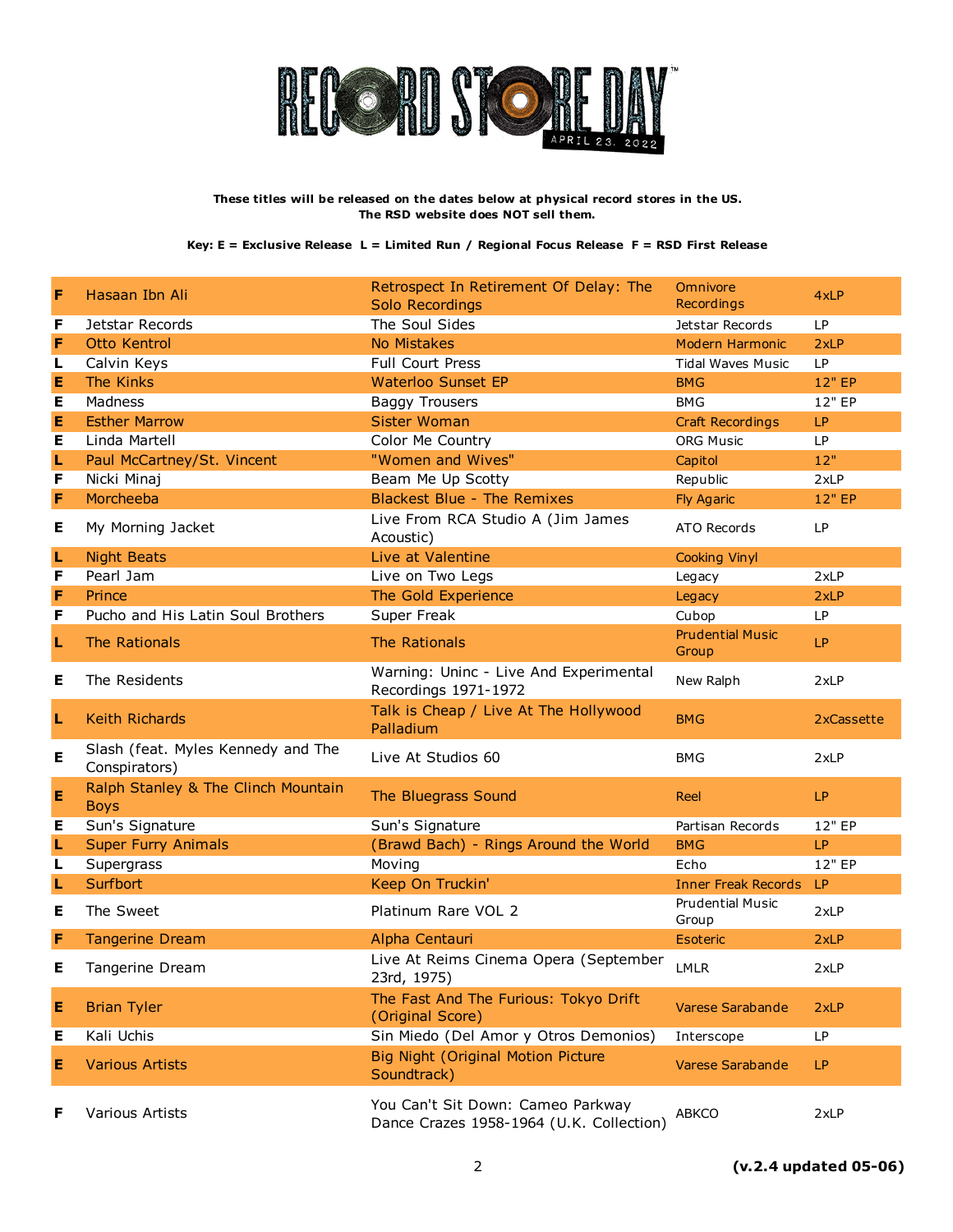

| F | Hasaan Ibn Ali                                      | Retrospect In Retirement Of Delay: The<br><b>Solo Recordings</b> | Omnivore<br>Recordings           | 4xLP              |
|---|-----------------------------------------------------|------------------------------------------------------------------|----------------------------------|-------------------|
| F | Jetstar Records                                     | The Soul Sides                                                   | Jetstar Records                  | LP                |
| F | <b>Otto Kentrol</b>                                 | No Mistakes                                                      | Modern Harmonic                  | 2xLP              |
| L | Calvin Keys                                         | Full Court Press                                                 | <b>Tidal Waves Music</b>         | <b>LP</b>         |
| Е | The Kinks                                           | <b>Waterloo Sunset EP</b>                                        | <b>BMG</b>                       | 12" EP            |
| Е | Madness                                             | <b>Baggy Trousers</b>                                            | <b>BMG</b>                       | 12" EP            |
| Е | <b>Esther Marrow</b>                                | <b>Sister Woman</b>                                              | <b>Craft Recordings</b>          | LP                |
| Е | Linda Martell                                       | Color Me Country                                                 | <b>ORG Music</b>                 | <b>LP</b>         |
| L | Paul McCartney/St. Vincent                          | "Women and Wives"                                                | Capitol                          | 12"               |
| F | Nicki Minaj                                         | Beam Me Up Scotty                                                | Republic                         | 2xLP              |
| F | Morcheeba                                           | <b>Blackest Blue - The Remixes</b>                               | <b>Fly Agaric</b>                | 12" EP            |
| Е | My Morning Jacket                                   | Live From RCA Studio A (Jim James<br>Acoustic)                   | ATO Records                      | LP                |
| L | <b>Night Beats</b>                                  | Live at Valentine                                                | <b>Cooking Vinyl</b>             |                   |
| F | Pearl Jam                                           | Live on Two Legs                                                 | Legacy                           | 2xLP              |
| F | Prince                                              | The Gold Experience                                              | Legacy                           | 2xLP              |
| F | Pucho and His Latin Soul Brothers                   | Super Freak                                                      | Cubop                            | <b>LP</b>         |
| L | The Rationals                                       | The Rationals                                                    | <b>Prudential Music</b><br>Group | LP                |
| Е | The Residents                                       | Warning: Uninc - Live And Experimental<br>Recordings 1971-1972   | New Ralph                        | 2xLP              |
| L | <b>Keith Richards</b>                               | Talk is Cheap / Live At The Hollywood<br>Palladium               | <b>BMG</b>                       | <b>2xCassette</b> |
| Е | Slash (feat. Myles Kennedy and The<br>Conspirators) | Live At Studios 60                                               | <b>BMG</b>                       | 2xLP              |
| E | Ralph Stanley & The Clinch Mountain<br><b>Boys</b>  | The Bluegrass Sound                                              | Reel                             | LP                |
| Е | Sun's Signature                                     | Sun's Signature                                                  | Partisan Records                 | 12" EP            |
| L | <b>Super Furry Animals</b>                          | (Brawd Bach) - Rings Around the World                            | <b>BMG</b>                       | LP                |
| L | Supergrass                                          | Moving                                                           | Echo                             | 12" EP            |
| L | Surfbort                                            | Keep On Truckin'                                                 | <b>Inner Freak Records</b>       | LP                |
| Е | The Sweet                                           | Platinum Rare VOL 2                                              | <b>Prudential Music</b><br>Group | 2xLP              |
| F | <b>Tangerine Dream</b>                              | Alpha Centauri                                                   | Esoteric                         | 2xLP              |
| Е | Tangerine Dream                                     | Live At Reims Cinema Opera (September<br>23rd, 1975)             | <b>LMLR</b>                      | 2xLP              |
| E | <b>Brian Tyler</b>                                  | The Fast And The Furious: Tokyo Drift<br>(Original Score)        | Varese Sarabande                 | 2xLP              |
| Е | Kali Uchis                                          | Sin Miedo (Del Amor y Otros Demonios)                            | Interscope                       | LP                |
| Е | <b>Various Artists</b>                              | <b>Big Night (Original Motion Picture</b><br>Soundtrack)         | Varese Sarabande                 | LP                |
| F | Various Artists                                     | You Can't Sit Down: Cameo Parkway                                | ABKCO                            | 2xLP              |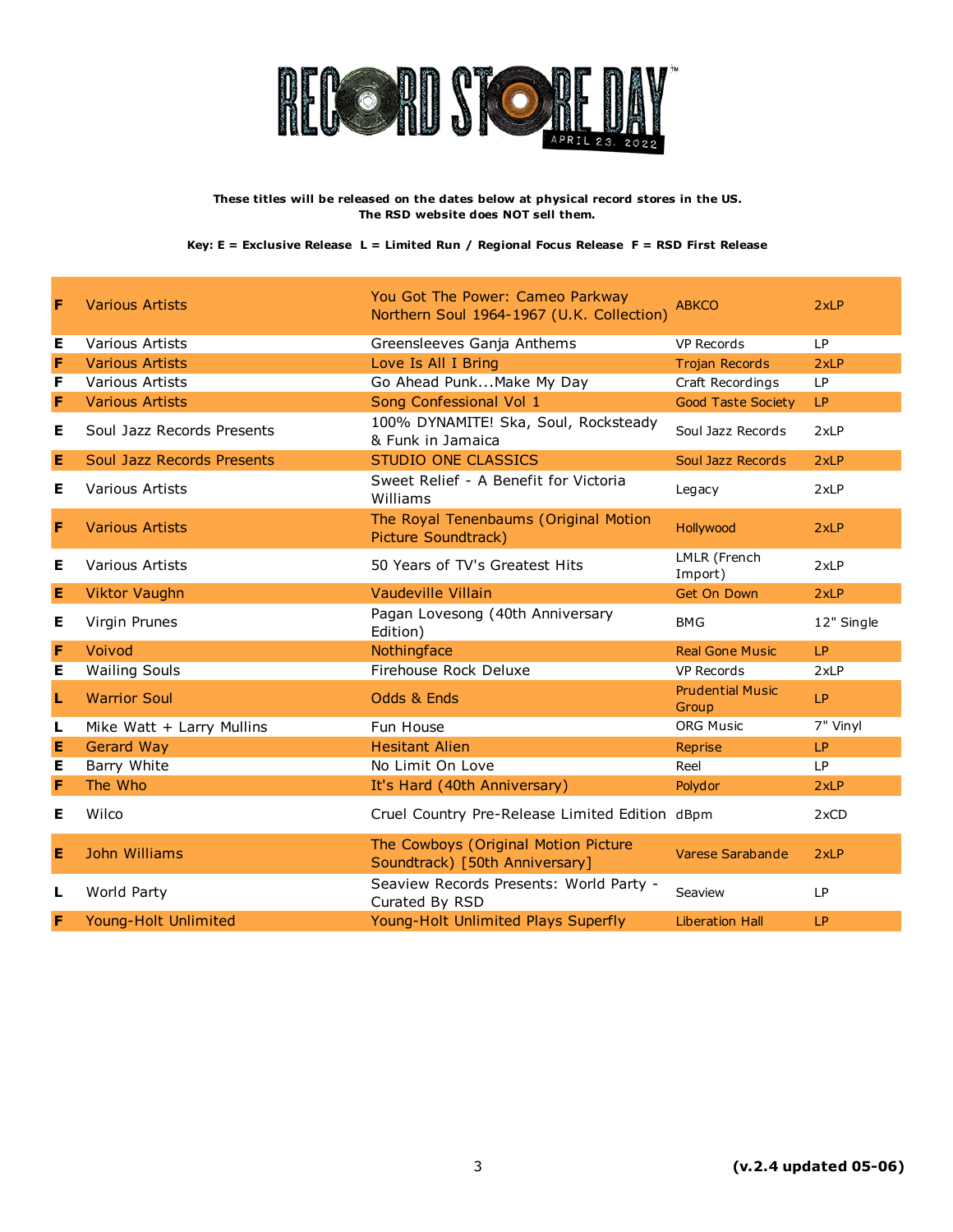

| F | <b>Various Artists</b>      | You Got The Power: Cameo Parkway<br>Northern Soul 1964-1967 (U.K. Collection) | <b>ABKCO</b>                     | 2xLP       |
|---|-----------------------------|-------------------------------------------------------------------------------|----------------------------------|------------|
| Е | Various Artists             | Greensleeves Ganja Anthems                                                    | <b>VP Records</b>                | LP         |
| F | <b>Various Artists</b>      | Love Is All I Bring                                                           | <b>Trojan Records</b>            | 2xLP       |
| F | Various Artists             | Go Ahead PunkMake My Day                                                      | Craft Recordings                 | LP         |
| F | <b>Various Artists</b>      | Song Confessional Vol 1                                                       | <b>Good Taste Society</b>        | LP         |
| Е | Soul Jazz Records Presents  | 100% DYNAMITE! Ska, Soul, Rocksteady<br>& Funk in Jamaica                     | Soul Jazz Records                | 2xLP       |
| Е | Soul Jazz Records Presents  | <b>STUDIO ONE CLASSICS</b>                                                    | Soul Jazz Records                | 2xLP       |
| Е | <b>Various Artists</b>      | Sweet Relief - A Benefit for Victoria<br>Williams                             | Legacy                           | 2xLP       |
| F | <b>Various Artists</b>      | The Royal Tenenbaums (Original Motion<br>Picture Soundtrack)                  | Hollywood                        | 2xLP       |
| Е | <b>Various Artists</b>      | 50 Years of TV's Greatest Hits                                                | LMLR (French<br>Import)          | 2xLP       |
| Е | <b>Viktor Vaughn</b>        | Vaudeville Villain                                                            | Get On Down                      | 2xLP       |
| Е | Virgin Prunes               | Pagan Lovesong (40th Anniversary<br>Edition)                                  | <b>BMG</b>                       | 12" Single |
| F | Voivod                      | Nothingface                                                                   | <b>Real Gone Music</b>           | LP         |
| Е | <b>Wailing Souls</b>        | Firehouse Rock Deluxe                                                         | <b>VP Records</b>                | 2xLP       |
| L | <b>Warrior Soul</b>         | Odds & Ends                                                                   | <b>Prudential Music</b><br>Group | LP         |
| L | Mike Watt + Larry Mullins   | Fun House                                                                     | <b>ORG Music</b>                 | 7" Vinyl   |
| Е | <b>Gerard Way</b>           | <b>Hesitant Alien</b>                                                         | Reprise                          | <b>LP</b>  |
| Е | Barry White                 | No Limit On Love                                                              | Reel                             | <b>LP</b>  |
| F | The Who                     | It's Hard (40th Anniversary)                                                  | Polydor                          | 2xLP       |
| Е | Wilco                       | Cruel Country Pre-Release Limited Edition dBpm                                |                                  | 2xCD       |
| Е | John Williams               | The Cowboys (Original Motion Picture<br>Soundtrack) [50th Anniversary]        | Varese Sarabande                 | 2xLP       |
| L | World Party                 | Seaview Records Presents: World Party -<br>Curated By RSD                     | Seaview                          | <b>LP</b>  |
| F | <b>Young-Holt Unlimited</b> | Young-Holt Unlimited Plays Superfly                                           | <b>Liberation Hall</b>           | LP         |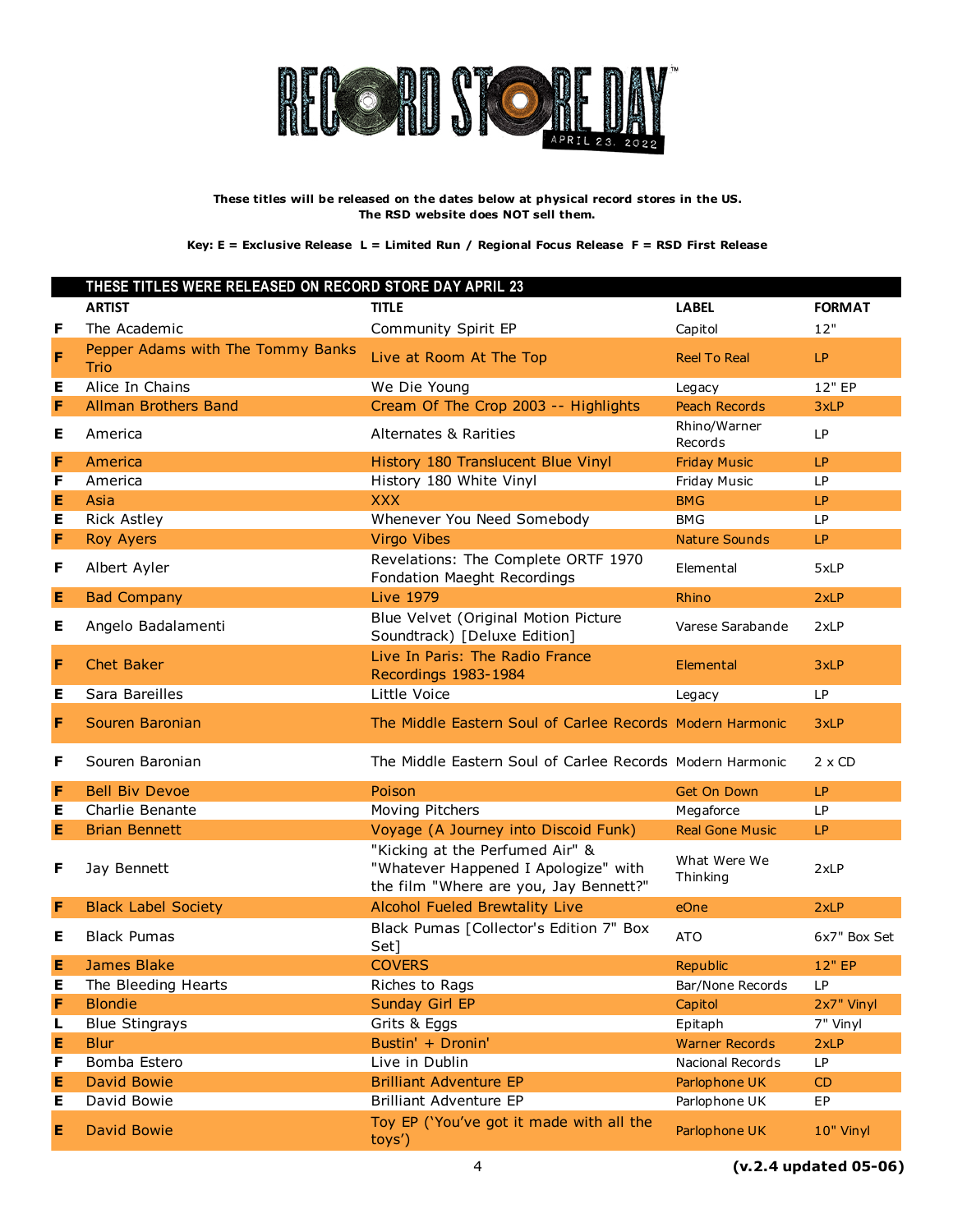

|   | THESE TITLES WERE RELEASED ON RECORD STORE DAY APRIL 23 |                                                                                                                   |                          |               |
|---|---------------------------------------------------------|-------------------------------------------------------------------------------------------------------------------|--------------------------|---------------|
|   | <b>ARTIST</b>                                           | <b>TITLE</b>                                                                                                      | <b>LABEL</b>             | <b>FORMAT</b> |
| F | The Academic                                            | Community Spirit EP                                                                                               | Capitol                  | 12"           |
| F | Pepper Adams with The Tommy Banks<br><b>Trio</b>        | Live at Room At The Top                                                                                           | <b>Reel To Real</b>      | LP            |
| Е | Alice In Chains                                         | We Die Young                                                                                                      | Legacy                   | 12" EP        |
| F | <b>Allman Brothers Band</b>                             | Cream Of The Crop 2003 -- Highlights                                                                              | <b>Peach Records</b>     | 3xLP          |
| Е | America                                                 | <b>Alternates &amp; Rarities</b>                                                                                  | Rhino/Warner<br>Records  | <b>LP</b>     |
| F | America                                                 | History 180 Translucent Blue Vinyl                                                                                | <b>Friday Music</b>      | LP            |
| F | America                                                 | History 180 White Vinyl                                                                                           | Friday Music             | LP.           |
| Е | Asia                                                    | <b>XXX</b>                                                                                                        | <b>BMG</b>               | LP            |
| Е | <b>Rick Astley</b>                                      | Whenever You Need Somebody                                                                                        | <b>BMG</b>               | <b>LP</b>     |
| F | <b>Roy Ayers</b>                                        | <b>Virgo Vibes</b>                                                                                                | <b>Nature Sounds</b>     | <b>LP</b>     |
| F | Albert Ayler                                            | Revelations: The Complete ORTF 1970<br>Fondation Maeght Recordings                                                | Elemental                | 5xLP          |
| E | <b>Bad Company</b>                                      | <b>Live 1979</b>                                                                                                  | Rhino                    | 2xLP          |
| Е | Angelo Badalamenti                                      | Blue Velvet (Original Motion Picture<br>Soundtrack) [Deluxe Edition]                                              | Varese Sarabande         | 2xLP          |
| F | <b>Chet Baker</b>                                       | Live In Paris: The Radio France<br>Recordings 1983-1984                                                           | Elemental                | 3xLP          |
| Е | Sara Bareilles                                          | Little Voice                                                                                                      | Legacy                   | <b>LP</b>     |
| F | Souren Baronian                                         | The Middle Eastern Soul of Carlee Records Modern Harmonic                                                         |                          | 3xLP          |
| F | Souren Baronian                                         | The Middle Eastern Soul of Carlee Records Modern Harmonic                                                         |                          | $2 \times CD$ |
| F | <b>Bell Biv Devoe</b>                                   | Poison                                                                                                            | <b>Get On Down</b>       | LP            |
| Е | Charlie Benante                                         | Moving Pitchers                                                                                                   | Megaforce                | <b>LP</b>     |
| Е | <b>Brian Bennett</b>                                    | Voyage (A Journey into Discoid Funk)                                                                              | <b>Real Gone Music</b>   | LP            |
| F | Jay Bennett                                             | "Kicking at the Perfumed Air" &<br>"Whatever Happened I Apologize" with<br>the film "Where are you, Jay Bennett?" | What Were We<br>Thinking | 2xLP          |
| F | <b>Black Label Society</b>                              | Alcohol Fueled Brewtality Live                                                                                    | eOne                     | 2xLP          |
| Е | <b>Black Pumas</b>                                      | Black Pumas [Collector's Edition 7" Box<br>Set]                                                                   | <b>ATO</b>               | 6x7" Box Set  |
| Е | <b>James Blake</b>                                      | <b>COVERS</b>                                                                                                     | Republic                 | 12" EP        |
| Е | The Bleeding Hearts                                     | Riches to Rags                                                                                                    | Bar/None Records         | LP            |
| F | <b>Blondie</b>                                          | Sunday Girl EP                                                                                                    | Capitol                  | 2x7" Vinyl    |
| L | <b>Blue Stingrays</b>                                   | Grits & Eggs                                                                                                      | Epitaph                  | 7" Vinyl      |
| Е | <b>Blur</b>                                             | Bustin' + Dronin'                                                                                                 | <b>Warner Records</b>    | 2xLP          |
| F | Bomba Estero                                            | Live in Dublin                                                                                                    | Nacional Records         | LP            |
| Е | <b>David Bowie</b>                                      | <b>Brilliant Adventure EP</b>                                                                                     | Parlophone UK            | CD            |
| Е | David Bowie                                             | <b>Brilliant Adventure EP</b>                                                                                     | Parlophone UK            | EP            |
| Е | <b>David Bowie</b>                                      | Toy EP ('You've got it made with all the<br>toys')                                                                | Parlophone UK            | 10" Vinyl     |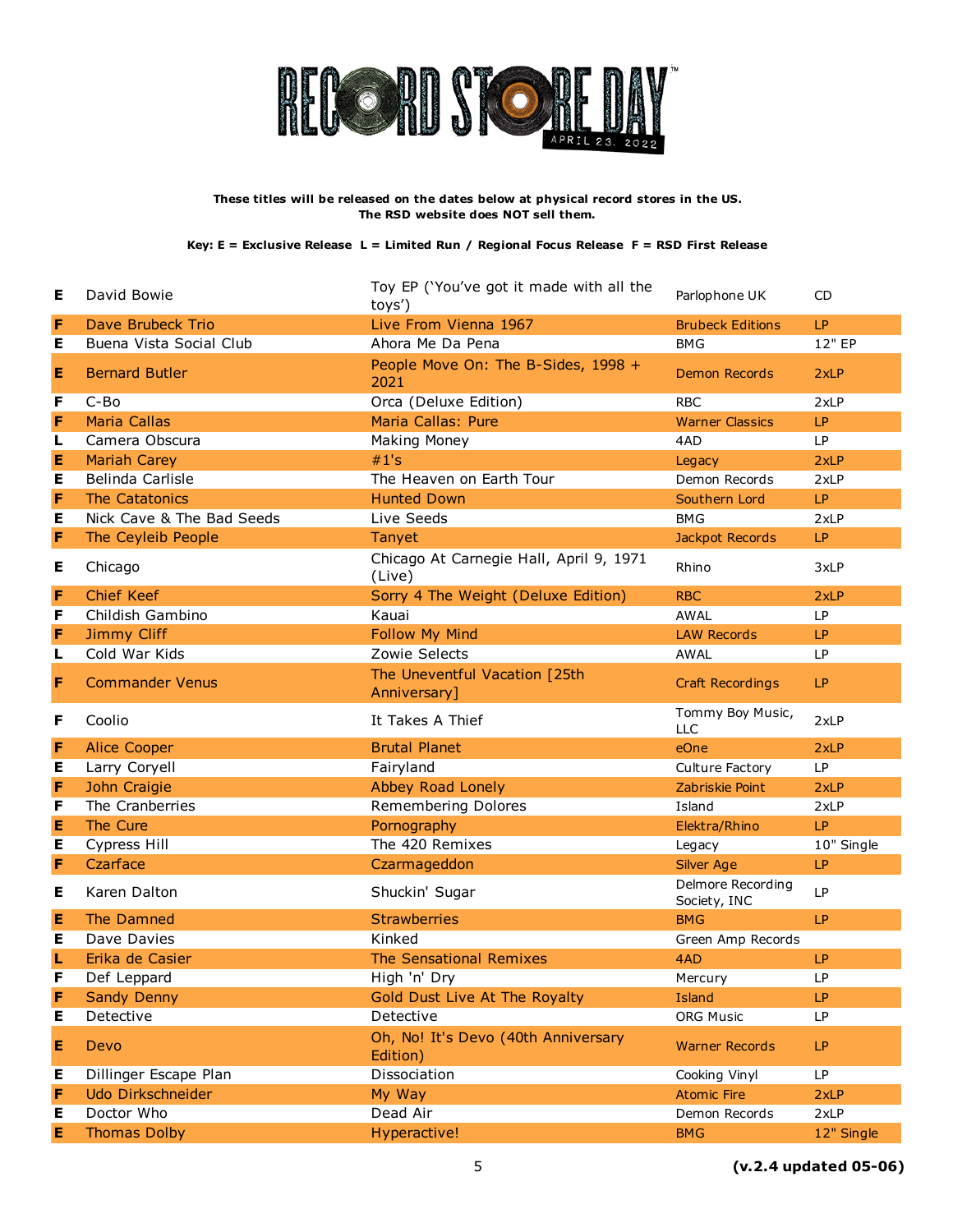

| Е | David Bowie               | Toy EP ('You've got it made with all the<br>toys') | Parlophone UK                     | CD         |
|---|---------------------------|----------------------------------------------------|-----------------------------------|------------|
| F | Dave Brubeck Trio         | Live From Vienna 1967                              | <b>Brubeck Editions</b>           | LP         |
| Е | Buena Vista Social Club   | Ahora Me Da Pena                                   | <b>BMG</b>                        | 12" EP     |
| Е | <b>Bernard Butler</b>     | People Move On: The B-Sides, 1998 +<br>2021        | <b>Demon Records</b>              | 2xLP       |
| F | C-Bo                      | Orca (Deluxe Edition)                              | <b>RBC</b>                        | 2xLP       |
| F | <b>Maria Callas</b>       | Maria Callas: Pure                                 | <b>Warner Classics</b>            | <b>LP</b>  |
| L | Camera Obscura            | Making Money                                       | 4AD                               | <b>LP</b>  |
| Е | <b>Mariah Carey</b>       | #1's                                               | Legacy                            | 2xLP       |
| Е | Belinda Carlisle          | The Heaven on Earth Tour                           | Demon Records                     | 2xLP       |
| F | The Catatonics            | <b>Hunted Down</b>                                 | Southern Lord                     | LP         |
| Е | Nick Cave & The Bad Seeds | Live Seeds                                         | <b>BMG</b>                        | 2xLP       |
| F | The Ceyleib People        | Tanyet                                             | Jackpot Records                   | LP         |
| Е | Chicago                   | Chicago At Carnegie Hall, April 9, 1971<br>(Live)  | Rhino                             | 3xLP       |
| F | <b>Chief Keef</b>         | Sorry 4 The Weight (Deluxe Edition)                | <b>RBC</b>                        | 2xLP       |
| F | Childish Gambino          | Kauai                                              | <b>AWAL</b>                       | <b>LP</b>  |
| F | <b>Jimmy Cliff</b>        | Follow My Mind                                     | <b>LAW Records</b>                | LP.        |
| L | Cold War Kids             | Zowie Selects                                      | <b>AWAL</b>                       | <b>LP</b>  |
| F | <b>Commander Venus</b>    | The Uneventful Vacation [25th<br>Anniversary]      | <b>Craft Recordings</b>           | LP         |
| F | Coolio                    | It Takes A Thief                                   | Tommy Boy Music,<br><b>LLC</b>    | 2xLP       |
| F | <b>Alice Cooper</b>       | <b>Brutal Planet</b>                               | eOne                              | 2xLP       |
| Е | Larry Coryell             | Fairyland                                          | Culture Factory                   | LP         |
| F | John Craigie              | Abbey Road Lonely                                  | Zabriskie Point                   | 2xLP       |
| F | The Cranberries           | Remembering Dolores                                | Island                            | 2xLP       |
| E | The Cure                  | Pornography                                        | Elektra/Rhino                     | LP         |
| Е | Cypress Hill              | The 420 Remixes                                    | Legacy                            | 10" Single |
| F | Czarface                  | Czarmageddon                                       | Silver Age                        | LP         |
| Е | Karen Dalton              | Shuckin' Sugar                                     | Delmore Recording<br>Society, INC | <b>LP</b>  |
| Е | The Damned                | <b>Strawberries</b>                                | <b>BMG</b>                        | LP         |
| Е | Dave Davies               | Kinked                                             | Green Amp Records                 |            |
| L | Erika de Casier           | The Sensational Remixes                            | 4AD                               | LP         |
| F | Def Leppard               | High 'n' Dry                                       | Mercury                           | LP.        |
| F | <b>Sandy Denny</b>        | Gold Dust Live At The Royalty                      | <b>Island</b>                     | LP         |
| Е | Detective                 | Detective                                          | <b>ORG Music</b>                  | LP         |
| Е | Devo                      | Oh, No! It's Devo (40th Anniversary<br>Edition)    | <b>Warner Records</b>             | LP         |
| Е | Dillinger Escape Plan     | Dissociation                                       | Cooking Vinyl                     | <b>LP</b>  |
| F | Udo Dirkschneider         | My Way                                             | <b>Atomic Fire</b>                | 2xLP       |
| Е | Doctor Who                | Dead Air                                           | Demon Records                     | 2xLP       |
| Е | <b>Thomas Dolby</b>       | Hyperactive!                                       | <b>BMG</b>                        | 12" Single |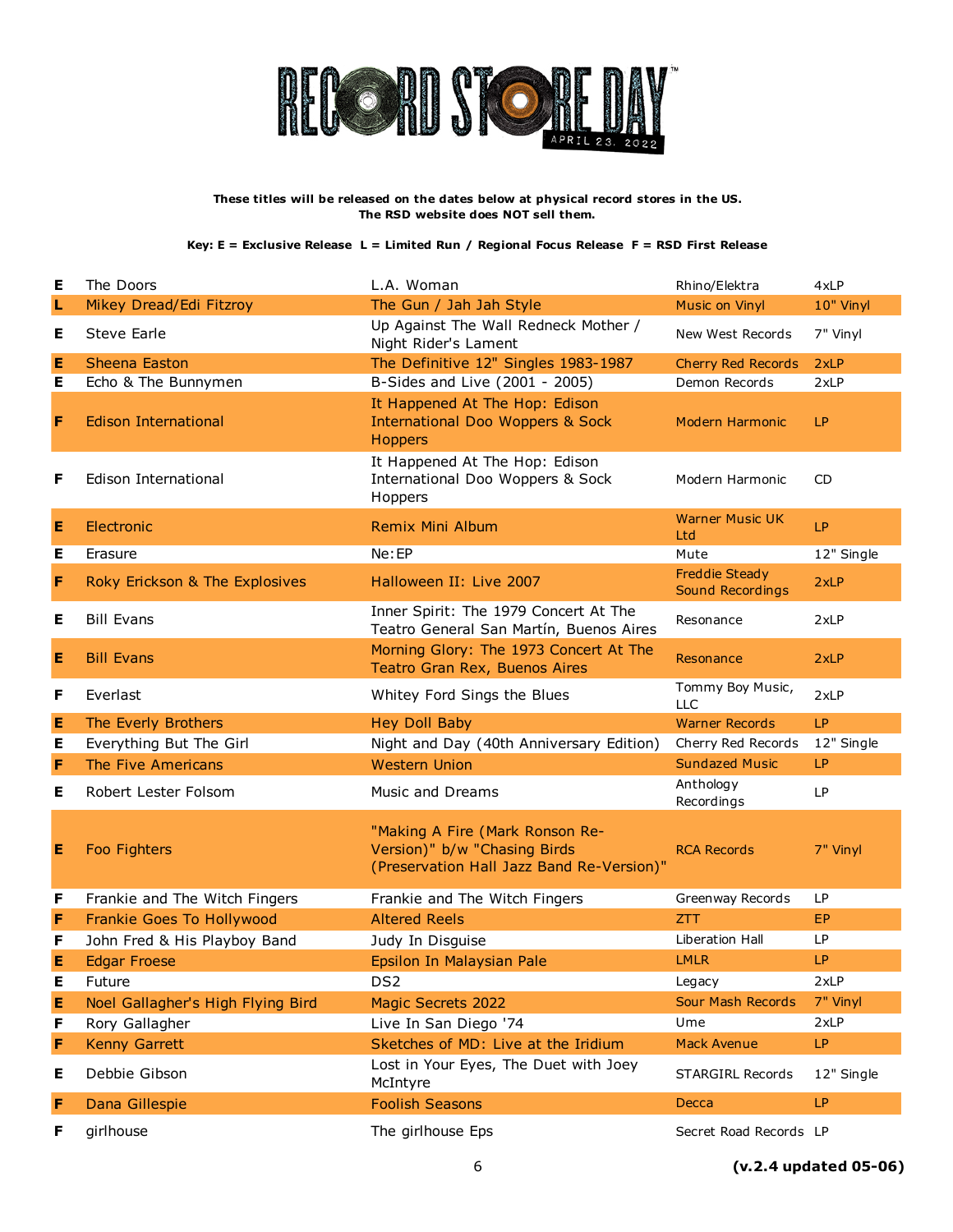

| Е | The Doors                         | L.A. Woman                                                                                                   | Rhino/Elektra                             | 4xLP       |
|---|-----------------------------------|--------------------------------------------------------------------------------------------------------------|-------------------------------------------|------------|
| L | Mikey Dread/Edi Fitzroy           | The Gun / Jah Jah Style                                                                                      | Music on Vinyl                            | 10" Vinyl  |
| Е | Steve Earle                       | Up Against The Wall Redneck Mother /<br>Night Rider's Lament                                                 | New West Records                          | 7" Vinyl   |
| Е | <b>Sheena Easton</b>              | The Definitive 12" Singles 1983-1987                                                                         | <b>Cherry Red Records</b>                 | 2xLP       |
| Е | Echo & The Bunnymen               | B-Sides and Live (2001 - 2005)                                                                               | Demon Records                             | 2xLP       |
| F | <b>Edison International</b>       | It Happened At The Hop: Edison<br><b>International Doo Woppers &amp; Sock</b><br><b>Hoppers</b>              | Modern Harmonic                           | LP.        |
| F | Edison International              | It Happened At The Hop: Edison<br>International Doo Woppers & Sock<br>Hoppers                                | Modern Harmonic                           | <b>CD</b>  |
| Е | Electronic                        | <b>Remix Mini Album</b>                                                                                      | <b>Warner Music UK</b><br>Ltd             | LP         |
| Е | Erasure                           | Ne:EP                                                                                                        | Mute                                      | 12" Single |
| F | Roky Erickson & The Explosives    | Halloween II: Live 2007                                                                                      | <b>Freddie Steady</b><br>Sound Recordings | 2xLP       |
| Е | <b>Bill Evans</b>                 | Inner Spirit: The 1979 Concert At The<br>Teatro General San Martín, Buenos Aires                             | Resonance                                 | 2xLP       |
| Е | <b>Bill Evans</b>                 | Morning Glory: The 1973 Concert At The<br>Teatro Gran Rex, Buenos Aires                                      | Resonance                                 | 2xLP       |
| F | Everlast                          | Whitey Ford Sings the Blues                                                                                  | Tommy Boy Music,<br><b>LLC</b>            | 2xLP       |
|   |                                   |                                                                                                              |                                           |            |
| Е | The Everly Brothers               | <b>Hey Doll Baby</b>                                                                                         | <b>Warner Records</b>                     | LP         |
| Е | Everything But The Girl           | Night and Day (40th Anniversary Edition)                                                                     | Cherry Red Records                        | 12" Single |
| F | The Five Americans                | <b>Western Union</b>                                                                                         | <b>Sundazed Music</b>                     | LP         |
| Е | Robert Lester Folsom              | Music and Dreams                                                                                             | Anthology<br>Recordings                   | <b>LP</b>  |
| Е | Foo Fighters                      | "Making A Fire (Mark Ronson Re-<br>Version)" b/w "Chasing Birds<br>(Preservation Hall Jazz Band Re-Version)" | <b>RCA Records</b>                        | 7" Vinyl   |
| F | Frankie and The Witch Fingers     | Frankie and The Witch Fingers                                                                                | Greenway Records                          | <b>LP</b>  |
| F | <b>Frankie Goes To Hollywood</b>  | <b>Altered Reels</b>                                                                                         | <b>ZTT</b>                                | EP.        |
| F | John Fred & His Playboy Band      | Judy In Disguise                                                                                             | Liberation Hall                           | LP.        |
| E | <b>Edgar Froese</b>               | Epsilon In Malaysian Pale                                                                                    | <b>LMLR</b>                               | LP         |
| Е | Future                            | DS <sub>2</sub>                                                                                              | Legacy                                    | 2xLP       |
| Ε | Noel Gallagher's High Flying Bird | <b>Magic Secrets 2022</b>                                                                                    | Sour Mash Records                         | 7" Vinyl   |
| F | Rory Gallagher                    | Live In San Diego '74                                                                                        | Ume                                       | 2xLP       |
| F | <b>Kenny Garrett</b>              | Sketches of MD: Live at the Iridium                                                                          | <b>Mack Avenue</b>                        | LP         |
| Е | Debbie Gibson                     | Lost in Your Eyes, The Duet with Joey<br>McIntyre                                                            | <b>STARGIRL Records</b>                   | 12" Single |
| F | Dana Gillespie                    | <b>Foolish Seasons</b>                                                                                       | Decca                                     | LP.        |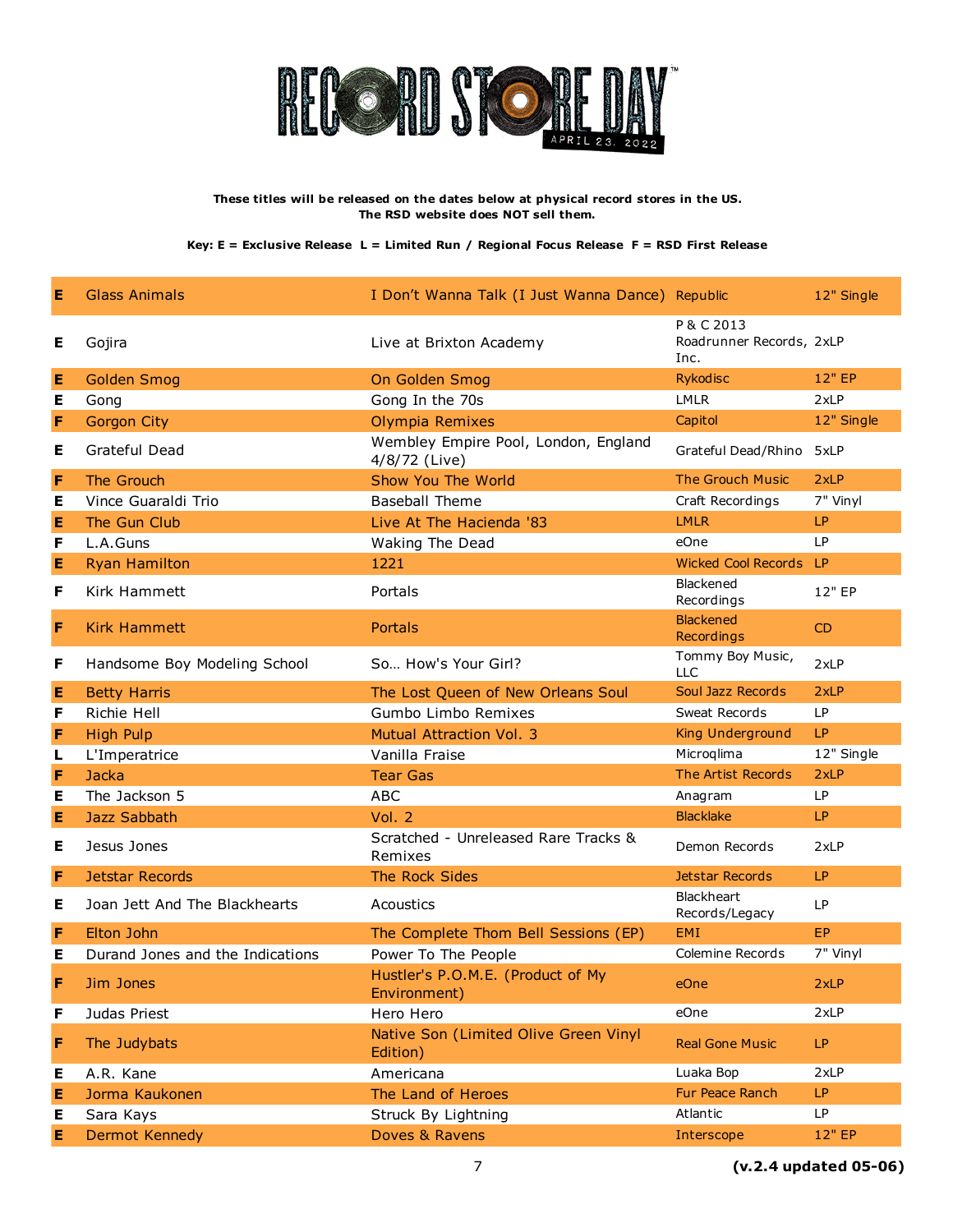

| Е | Glass Animals                    | I Don't Wanna Talk (I Just Wanna Dance) Republic      |                                                | 12" Single |
|---|----------------------------------|-------------------------------------------------------|------------------------------------------------|------------|
| Е | Gojira                           | Live at Brixton Academy                               | P & C 2013<br>Roadrunner Records, 2xLP<br>Inc. |            |
| Е | <b>Golden Smog</b>               | On Golden Smog                                        | <b>Rykodisc</b>                                | 12" EP     |
| Е | Gong                             | Gong In the 70s                                       | <b>LMLR</b>                                    | 2xLP       |
| F | <b>Gorgon City</b>               | Olympia Remixes                                       | Capitol                                        | 12" Single |
| Е | Grateful Dead                    | Wembley Empire Pool, London, England<br>4/8/72 (Live) | Grateful Dead/Rhino 5xLP                       |            |
| F | The Grouch                       | Show You The World                                    | <b>The Grouch Music</b>                        | 2xLP       |
| Е | Vince Guaraldi Trio              | <b>Baseball Theme</b>                                 | Craft Recordings                               | 7" Vinyl   |
| E | The Gun Club                     | Live At The Hacienda '83                              | <b>LMLR</b>                                    | LP         |
| F | L.A.Guns                         | Waking The Dead                                       | eOne                                           | LP.        |
| Е | <b>Ryan Hamilton</b>             | 1221                                                  | <b>Wicked Cool Records</b>                     | <b>LP</b>  |
| F | Kirk Hammett                     | Portals                                               | Blackened<br>Recordings                        | 12" EP     |
| F | <b>Kirk Hammett</b>              | Portals                                               | <b>Blackened</b><br>Recordings                 | CD         |
| F | Handsome Boy Modeling School     | So How's Your Girl?                                   | Tommy Boy Music,<br><b>LLC</b>                 | 2xLP       |
| Е | <b>Betty Harris</b>              | The Lost Queen of New Orleans Soul                    | Soul Jazz Records                              | 2xLP       |
| F | Richie Hell                      | Gumbo Limbo Remixes                                   | Sweat Records                                  | <b>LP</b>  |
| F | <b>High Pulp</b>                 | <b>Mutual Attraction Vol. 3</b>                       | King Underground                               | LP         |
| L | L'Imperatrice                    | Vanilla Fraise                                        | Microqlima                                     | 12" Single |
| F | Jacka                            | <b>Tear Gas</b>                                       | The Artist Records                             | 2xLP       |
| Е | The Jackson 5                    | <b>ABC</b>                                            | Anagram                                        | LP         |
| Е | <b>Jazz Sabbath</b>              | Vol. 2                                                | <b>Blacklake</b>                               | LP         |
| Е | Jesus Jones                      | Scratched - Unreleased Rare Tracks &<br>Remixes       | Demon Records                                  | 2xLP       |
| F | <b>Jetstar Records</b>           | The Rock Sides                                        | Jetstar Records                                | LP         |
| Е | Joan Jett And The Blackhearts    | Acoustics                                             | Blackheart<br>Records/Legacy                   | LP         |
| F | Elton John                       | The Complete Thom Bell Sessions (EP)                  | <b>EMI</b>                                     | EP         |
| Е | Durand Jones and the Indications | Power To The People                                   | Colemine Records                               | 7" Vinyl   |
| F | Jim Jones                        | Hustler's P.O.M.E. (Product of My<br>Environment)     | eOne                                           | 2xLP       |
| F | Judas Priest                     | Hero Hero                                             | eOne                                           | 2xLP       |
| F | The Judybats                     | Native Son (Limited Olive Green Vinyl<br>Edition)     | <b>Real Gone Music</b>                         | LP         |
| Е | A.R. Kane                        | Americana                                             | Luaka Bop                                      | 2xLP       |
| Е | Jorma Kaukonen                   | The Land of Heroes                                    | Fur Peace Ranch                                | LP.        |
| Е | Sara Kays                        | Struck By Lightning                                   | Atlantic                                       | <b>LP</b>  |
| E | <b>Dermot Kennedy</b>            | Doves & Ravens                                        | Interscope                                     | 12" EP     |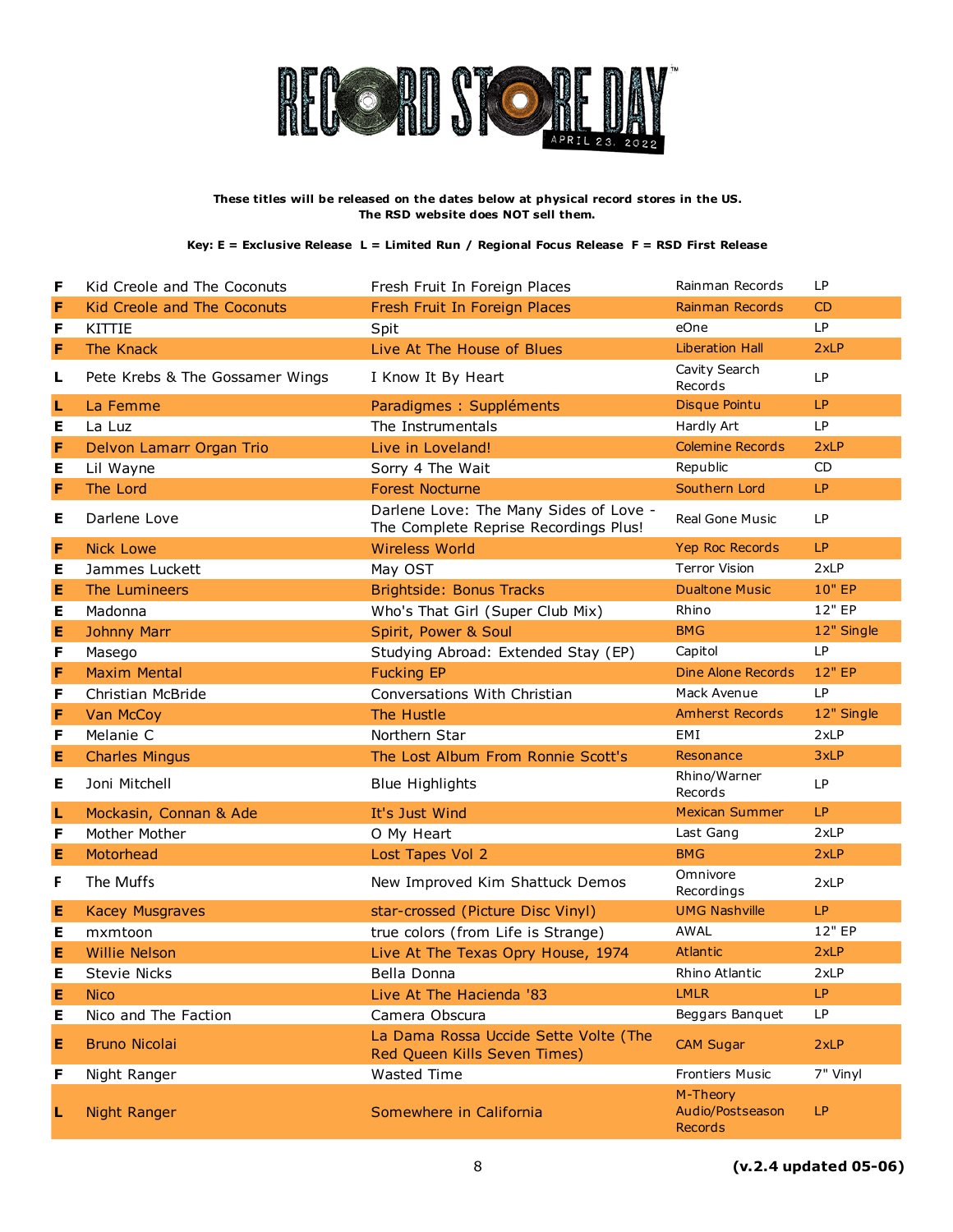

| F | Kid Creole and The Coconuts        | Fresh Fruit In Foreign Places                                                   | Rainman Records                    | LP         |
|---|------------------------------------|---------------------------------------------------------------------------------|------------------------------------|------------|
| F | <b>Kid Creole and The Coconuts</b> | Fresh Fruit In Foreign Places                                                   | Rainman Records                    | CD         |
| F | <b>KITTIE</b>                      | Spit                                                                            | eOne                               | <b>LP</b>  |
| F | The Knack                          | Live At The House of Blues                                                      | <b>Liberation Hall</b>             | 2xLP       |
| L | Pete Krebs & The Gossamer Wings    | I Know It By Heart                                                              | Cavity Search<br>Records           | LP         |
| L | La Femme                           | Paradigmes : Suppléments                                                        | <b>Disque Pointu</b>               | LP         |
| Е | La Luz                             | The Instrumentals                                                               | Hardly Art                         | LP         |
| F | Delvon Lamarr Organ Trio           | Live in Loveland!                                                               | <b>Colemine Records</b>            | 2xLP       |
| Е | Lil Wayne                          | Sorry 4 The Wait                                                                | Republic                           | <b>CD</b>  |
| F | The Lord                           | <b>Forest Nocturne</b>                                                          | Southern Lord                      | LP         |
| Е | Darlene Love                       | Darlene Love: The Many Sides of Love -<br>The Complete Reprise Recordings Plus! | Real Gone Music                    | <b>LP</b>  |
| F | <b>Nick Lowe</b>                   | <b>Wireless World</b>                                                           | Yep Roc Records                    | LP.        |
| Ε | Jammes Luckett                     | May OST                                                                         | <b>Terror Vision</b>               | 2xLP       |
| Е | The Lumineers                      | <b>Brightside: Bonus Tracks</b>                                                 | <b>Dualtone Music</b>              | 10" EP     |
| Ε | Madonna                            | Who's That Girl (Super Club Mix)                                                | Rhino                              | 12" EP     |
| Е | <b>Johnny Marr</b>                 | Spirit, Power & Soul                                                            | <b>BMG</b>                         | 12" Single |
| F | Masego                             | Studying Abroad: Extended Stay (EP)                                             | Capitol                            | <b>LP</b>  |
| F | <b>Maxim Mental</b>                | <b>Fucking EP</b>                                                               | Dine Alone Records                 | 12" EP     |
| F | Christian McBride                  | Conversations With Christian                                                    | Mack Avenue                        | <b>LP</b>  |
|   |                                    | The Hustle                                                                      | <b>Amherst Records</b>             |            |
| F | Van McCoy                          |                                                                                 |                                    | 12" Single |
| F | Melanie C                          | Northern Star                                                                   | EMI                                | 2xLP       |
| Е | <b>Charles Mingus</b>              | The Lost Album From Ronnie Scott's                                              | Resonance                          | 3xLP       |
| Е | Joni Mitchell                      | <b>Blue Highlights</b>                                                          | Rhino/Warner<br>Records            | LP         |
| L | Mockasin, Connan & Ade             | It's Just Wind                                                                  | <b>Mexican Summer</b>              | LP.        |
| F | Mother Mother                      | O My Heart                                                                      | Last Gang                          | 2xLP       |
| Ε | Motorhead                          | Lost Tapes Vol 2                                                                | <b>BMG</b>                         | 2xLP       |
| F | The Muffs                          | New Improved Kim Shattuck Demos                                                 | Omnivore<br>Recordings             | 2xLP       |
| Е | <b>Kacey Musgraves</b>             | star-crossed (Picture Disc Vinyl)                                               | <b>UMG Nashville</b>               | LP         |
| Е | mxmtoon                            | true colors (from Life is Strange)                                              | AWAL                               | 12" EP     |
| Е | <b>Willie Nelson</b>               | Live At The Texas Opry House, 1974                                              | <b>Atlantic</b>                    | 2xLP       |
| E | <b>Stevie Nicks</b>                | Bella Donna                                                                     | Rhino Atlantic                     | 2xLP       |
| Е | <b>Nico</b>                        | Live At The Hacienda '83                                                        | <b>LMLR</b>                        | LP         |
| Е | Nico and The Faction               | Camera Obscura                                                                  | Beggars Banquet                    | LP.        |
| Е | <b>Bruno Nicolai</b>               | La Dama Rossa Uccide Sette Volte (The<br>Red Queen Kills Seven Times)           | <b>CAM Sugar</b>                   | 2xLP       |
| F | Night Ranger                       | Wasted Time                                                                     | <b>Frontiers Music</b><br>M-Theory | 7" Vinyl   |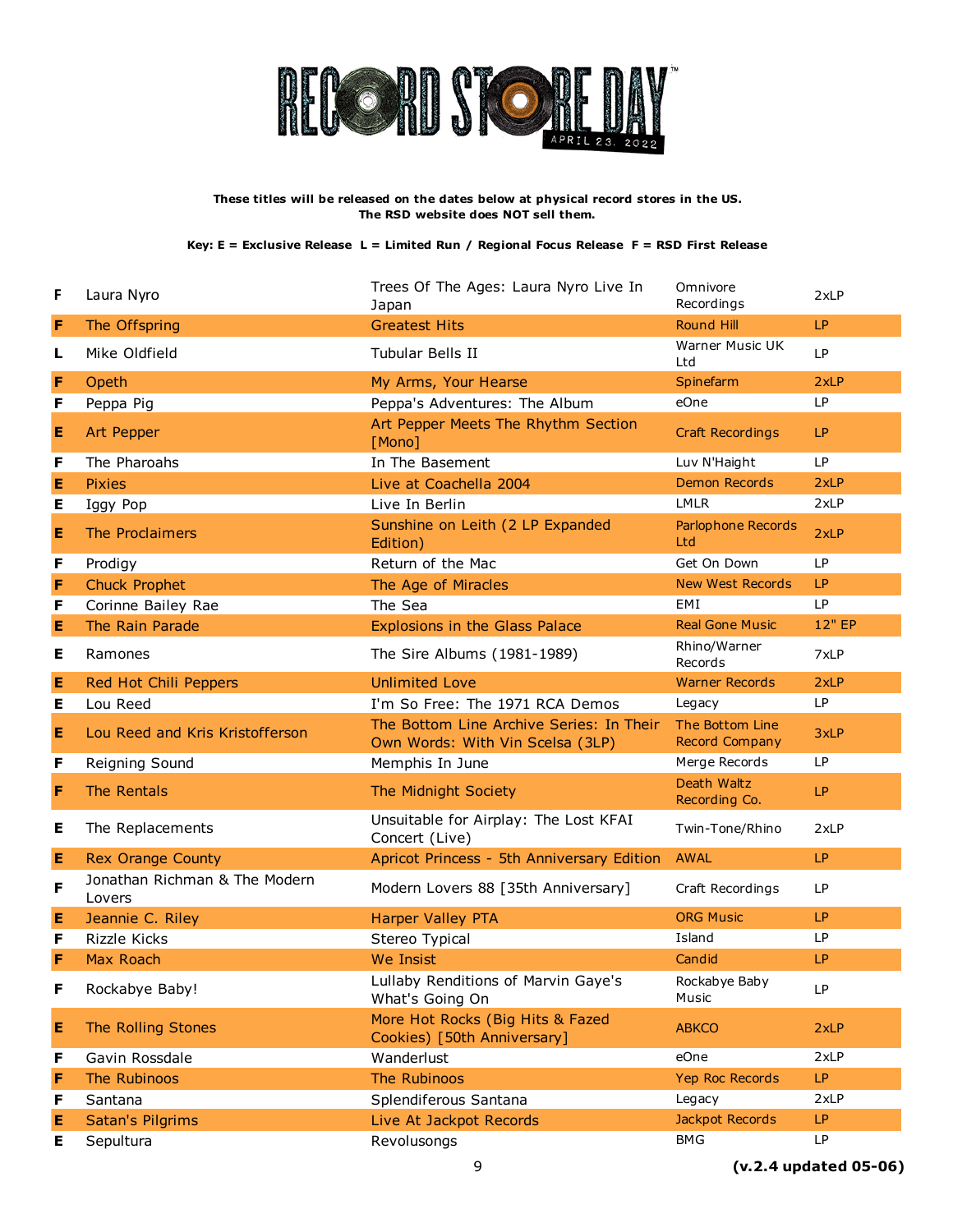

| F | Laura Nyro                              | Trees Of The Ages: Laura Nyro Live In<br>Japan                               | Omnivore<br>Recordings            | 2xLP      |
|---|-----------------------------------------|------------------------------------------------------------------------------|-----------------------------------|-----------|
| F | The Offspring                           | <b>Greatest Hits</b>                                                         | <b>Round Hill</b>                 | <b>LP</b> |
| L | Mike Oldfield                           | Tubular Bells II                                                             | Warner Music UK<br>Ltd            | LP        |
| F | Opeth                                   | My Arms, Your Hearse                                                         | Spinefarm                         | 2xLP      |
| F | Peppa Pig                               | Peppa's Adventures: The Album                                                | eOne                              | <b>LP</b> |
| Е | Art Pepper                              | Art Pepper Meets The Rhythm Section<br>[Mono]                                | <b>Craft Recordings</b>           | LP        |
| F | The Pharoahs                            | In The Basement                                                              | Luv N'Haight                      | LP        |
| E | <b>Pixies</b>                           | Live at Coachella 2004                                                       | <b>Demon Records</b>              | 2xLP      |
| Е | Iggy Pop                                | Live In Berlin                                                               | <b>LMLR</b>                       | 2xLP      |
| Е | The Proclaimers                         | Sunshine on Leith (2 LP Expanded<br>Edition)                                 | Parlophone Records<br>Ltd         | 2xLP      |
| F | Prodigy                                 | Return of the Mac                                                            | Get On Down                       | <b>LP</b> |
| F | <b>Chuck Prophet</b>                    | The Age of Miracles                                                          | <b>New West Records</b>           | LP        |
| F | Corinne Bailey Rae                      | The Sea                                                                      | EMI                               | <b>LP</b> |
| Е | The Rain Parade                         | Explosions in the Glass Palace                                               | <b>Real Gone Music</b>            | 12" EP    |
| Е | Ramones                                 | The Sire Albums (1981-1989)                                                  | Rhino/Warner<br>Records           | 7xLP      |
| E | Red Hot Chili Peppers                   | <b>Unlimited Love</b>                                                        | <b>Warner Records</b>             | 2xLP      |
| Е | Lou Reed                                | I'm So Free: The 1971 RCA Demos                                              | Legacy                            | <b>LP</b> |
| Е | Lou Reed and Kris Kristofferson         | The Bottom Line Archive Series: In Their<br>Own Words: With Vin Scelsa (3LP) | The Bottom Line<br>Record Company | 3xLP      |
| F | Reigning Sound                          | Memphis In June                                                              | Merge Records                     | LP        |
| F | The Rentals                             | The Midnight Society                                                         | Death Waltz<br>Recording Co.      | LP        |
| Е | The Replacements                        | Unsuitable for Airplay: The Lost KFAI<br>Concert (Live)                      | Twin-Tone/Rhino                   | 2xLP      |
| Е | <b>Rex Orange County</b>                | Apricot Princess - 5th Anniversary Edition                                   | <b>AWAL</b>                       | LP        |
| F | Jonathan Richman & The Modern<br>Lovers | Modern Lovers 88 [35th Anniversary]                                          | Craft Recordings                  | LP        |
| E | Jeannie C. Riley                        | <b>Harper Valley PTA</b>                                                     | <b>ORG Music</b>                  | LP        |
| F | Rizzle Kicks                            | Stereo Typical                                                               | Island                            | LP        |
| F | Max Roach                               | We Insist                                                                    | Candid                            | LP        |
| F | Rockabye Baby!                          | Lullaby Renditions of Marvin Gaye's<br>What's Going On                       | Rockabye Baby<br>Music            | LP        |
| Е | The Rolling Stones                      | More Hot Rocks (Big Hits & Fazed<br>Cookies) [50th Anniversary]              | <b>ABKCO</b>                      | 2xLP      |
| F | Gavin Rossdale                          | Wanderlust                                                                   | eOne                              | 2xLP      |
| F | The Rubinoos                            | The Rubinoos                                                                 | Yep Roc Records                   | LP        |
| F | Santana                                 | Splendiferous Santana                                                        | Legacy                            | 2xLP      |
| Е | Satan's Pilgrims                        | Live At Jackpot Records                                                      | Jackpot Records                   | LP.       |
| Е | Sepultura                               | Revolusongs                                                                  | <b>BMG</b>                        | LP        |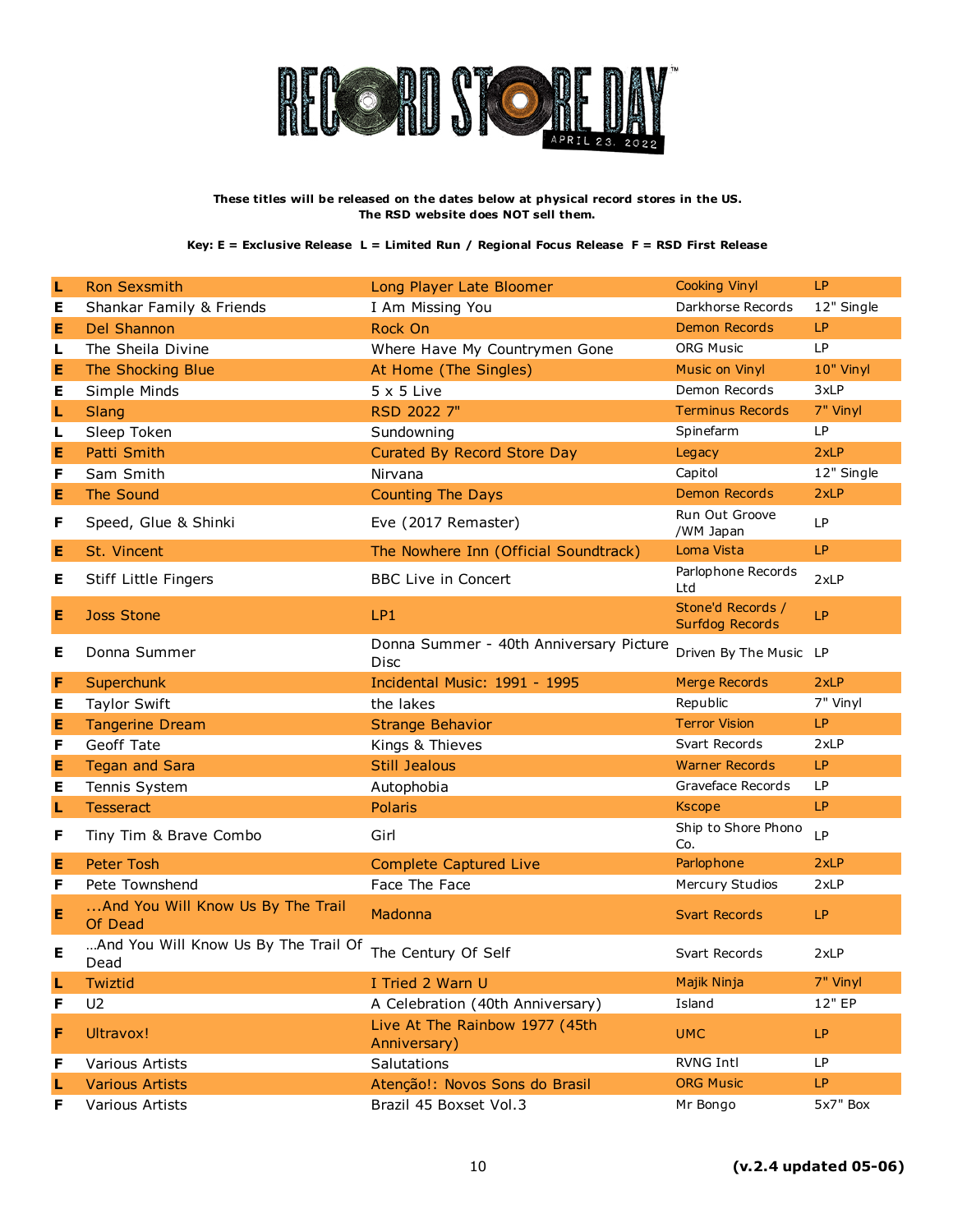

| L | <b>Ron Sexsmith</b>                          | Long Player Late Bloomer                        | <b>Cooking Vinyl</b>                        | LP         |
|---|----------------------------------------------|-------------------------------------------------|---------------------------------------------|------------|
| Е | Shankar Family & Friends                     | I Am Missing You                                | Darkhorse Records                           | 12" Single |
| Е | <b>Del Shannon</b>                           | Rock On                                         | <b>Demon Records</b>                        | LP         |
| L | The Sheila Divine                            | Where Have My Countrymen Gone                   | <b>ORG Music</b>                            | LP         |
| E | The Shocking Blue                            | At Home (The Singles)                           | Music on Vinyl                              | 10" Vinyl  |
| Е | Simple Minds                                 | $5 \times 5$ Live                               | Demon Records                               | 3xLP       |
| L | Slang                                        | RSD 2022 7"                                     | <b>Terminus Records</b>                     | 7" Vinyl   |
| L | Sleep Token                                  | Sundowning                                      | Spinefarm                                   | LP         |
| Е | Patti Smith                                  | Curated By Record Store Day                     | Legacy                                      | 2xLP       |
| F | Sam Smith                                    | Nirvana                                         | Capitol                                     | 12" Single |
| Е | The Sound                                    | <b>Counting The Days</b>                        | <b>Demon Records</b>                        | 2xLP       |
| F | Speed, Glue & Shinki                         | Eve (2017 Remaster)                             | Run Out Groove<br>/WM Japan                 | LP         |
| Е | St. Vincent                                  | The Nowhere Inn (Official Soundtrack)           | Loma Vista                                  | LP         |
| Е | Stiff Little Fingers                         | <b>BBC Live in Concert</b>                      | Parlophone Records<br>Ltd                   | 2xLP       |
| Е | <b>Joss Stone</b>                            | LP <sub>1</sub>                                 | Stone'd Records /<br><b>Surfdog Records</b> | LP         |
| Е | Donna Summer                                 | Donna Summer - 40th Anniversary Picture<br>Disc | Driven By The Music LP                      |            |
| F | Superchunk                                   | Incidental Music: 1991 - 1995                   | <b>Merge Records</b>                        | 2xLP       |
| Е | <b>Taylor Swift</b>                          | the lakes                                       | Republic                                    | 7" Vinyl   |
| E | <b>Tangerine Dream</b>                       | <b>Strange Behavior</b>                         | <b>Terror Vision</b>                        | LP         |
| F | Geoff Tate                                   | Kings & Thieves                                 | Svart Records                               | 2xLP       |
| E | <b>Tegan and Sara</b>                        | <b>Still Jealous</b>                            | <b>Warner Records</b>                       | LP         |
| Е | Tennis System                                | Autophobia                                      | Graveface Records                           | LP         |
| ш | <b>Tesseract</b>                             | <b>Polaris</b>                                  | <b>Kscope</b>                               | LP         |
| F | Tiny Tim & Brave Combo                       | Girl                                            | Ship to Shore Phono<br>Co.                  | <b>LP</b>  |
| E | <b>Peter Tosh</b>                            |                                                 |                                             |            |
| F |                                              | <b>Complete Captured Live</b>                   | Parlophone                                  | 2xLP       |
|   | Pete Townshend                               | Face The Face                                   | Mercury Studios                             | 2xLP       |
| Е | And You Will Know Us By The Trail<br>Of Dead | Madonna                                         | <b>Svart Records</b>                        | LP         |
| Е | And You Will Know Us By The Trail Of<br>Dead | The Century Of Self                             | Svart Records                               | 2xLP       |
| L | Twiztid                                      | I Tried 2 Warn U                                | Majik Ninja                                 | 7" Vinyl   |
| F | U <sub>2</sub>                               | A Celebration (40th Anniversary)                | Island                                      | 12" EP     |
| F | Ultravox!                                    | Live At The Rainbow 1977 (45th<br>Anniversary)  | <b>UMC</b>                                  | LP         |
| F | Various Artists                              | Salutations                                     | RVNG Intl                                   | LP         |
| L | <b>Various Artists</b>                       | Atenção!: Novos Sons do Brasil                  | <b>ORG Music</b>                            | LP.        |